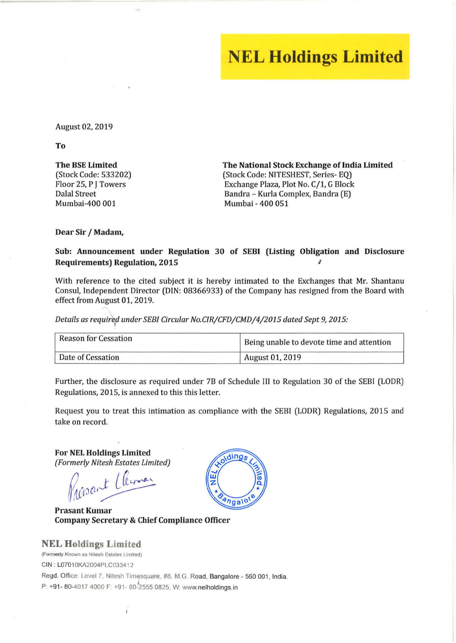## **NEL Holdings Limited**

August 02, 2019

To

The BSE Limited (Stock Code: 533202) Floor 25, P J Towers Dalal Street Mumbai-400 001

The National Stock Exchange of India Limited (Stock Code: NITESHEST, Series- EQ) Exchange Plaza, Plot No. C/1, G Block Bandra - Kurla Complex, Bandra (E) Mumbai - 400 051

Dear Sir / Madam,

## Sub: Announcement under Regulation 30 of SEBI (Listing Obligation and Disclosure Requirements) Regulation, 2015 Intervalse and the United States of the United States of the United States of the U

With reference to the cited subject it is hereby intimated to the Exchanges that Mr. Shantanu Consul, Independent Director (DIN: 08366933) of the Company has resigned from the Board with effect from August 01, 2019.

*Details as* requir <sup>d</sup>*under SEBI Circular No.cIR/CFD/CMD/4/2015 dated Sept* 9, *2015:* 

| <b>Reason for Cessation</b> | Being unable to devote time and attention |
|-----------------------------|-------------------------------------------|
| Date of Cessation           | <b>August 01, 2019</b>                    |

Further, the disclosure as required under 7B of Schedule 1lI to Regulation 30 of the SEBI (LODR) Regulations, 2015, is annexed to this this letter.

Request you to treat this intimation as compliance with the SEBI (LODR) Regulations, 2015 and take on record.

For NEL Holdings Limited *(Formerly Nitesh Estates Limited)* 

Report Cleman  $\cdot$ Vitesh Estates Limited)

Prasant Kumar Company Secretary & Chief Compliance Officer

NEL Holdings Limited (Formerly Known as Nitesh Estates Limited) CIN : L0701 0KA2004PLC033412 Regd. Office: Level 7, Nitesh Timesquare, #8, M.G. Road, Bangalore - 560 001, India. P: +91- 80-4017 4000 F: +91- 80-2555 0825. W: www.nelholdings.in